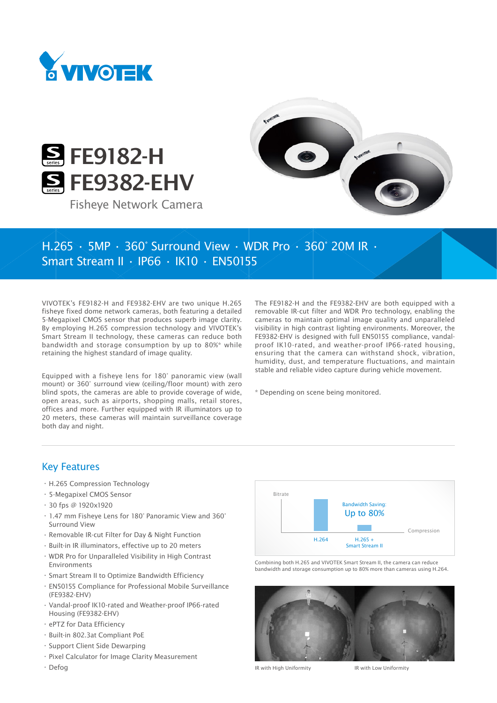





## H.265 • 5MP • 360° Surround View • WDR Pro • 360° 20M IR • Smart Stream II • IP66 • IK10 • EN50155

VIVOTEK's FE9182-H and FE9382-EHV are two unique H.265 fisheye fixed dome network cameras, both featuring a detailed 5-Megapixel CMOS sensor that produces superb image clarity. By employing H.265 compression technology and VIVOTEK's Smart Stream II technology, these cameras can reduce both bandwidth and storage consumption by up to 80%\* while retaining the highest standard of image quality.

Equipped with a fisheye lens for 180° panoramic view (wall mount) or 360° surround view (ceiling/floor mount) with zero blind spots, the cameras are able to provide coverage of wide, open areas, such as airports, shopping malls, retail stores, offices and more. Further equipped with IR illuminators up to 20 meters, these cameras will maintain surveillance coverage both day and night.

The FE9182-H and the FE9382-EHV are both equipped with a removable IR-cut filter and WDR Pro technology, enabling the cameras to maintain optimal image quality and unparalleled visibility in high contrast lighting environments. Moreover, the FE9382-EHV is designed with full EN50155 compliance, vandalproof IK10-rated, and weather-proof IP66-rated housing, ensuring that the camera can withstand shock, vibration, humidity, dust, and temperature fluctuations, and maintain stable and reliable video capture during vehicle movement.

\* Depending on scene being monitored.

#### Key Features

- • H.265 Compression Technology
- • 5-Megapixel CMOS Sensor
- • 30 fps @ 1920x1920
- • 1.47 mm Fisheye Lens for 180° Panoramic View and 360° Surround View
- • Removable IR-cut Filter for Day & Night Function
- • Built-in IR illuminators, effective up to 20 meters
- • WDR Pro for Unparalleled Visibility in High Contrast Environments
- • Smart Stream II to Optimize Bandwidth Efficiency
- • EN50155 Compliance for Professional Mobile Surveillance (FE9382-EHV)
- • Vandal-proof IK10-rated and Weather-proof IP66-rated Housing (FE9382-EHV)
- • ePTZ for Data Efficiency
- • Built-in 802.3at Compliant PoE
- • Support Client Side Dewarping
- • Pixel Calculator for Image Clarity Measurement

• Defog



Combining both H.265 and VIVOTEK Smart Stream II, the camera can reduce bandwidth and storage consumption up to 80% more than cameras using H.264.



IR with High Uniformity IR with Low Uniformity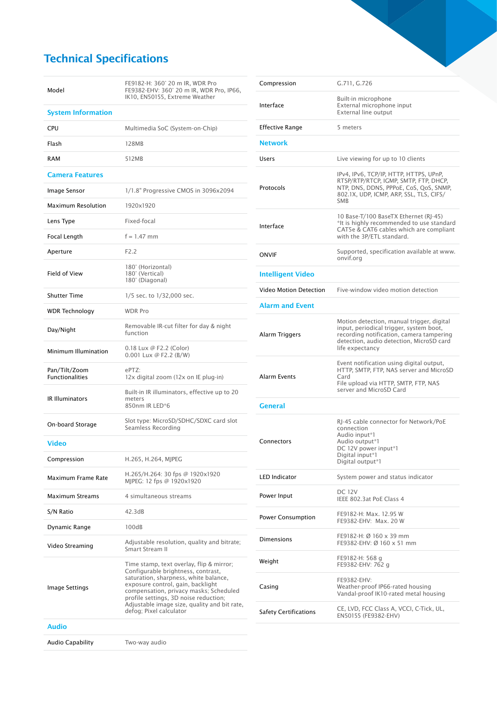# Technical Specifications

| Model                                   | FE9182-H: 360° 20 m IR, WDR Pro<br>FE9382-EHV: 360° 20 m IR, WDR Pro, IP66,<br>IK10, EN50155, Extreme Weather                                                                                                                                                                                                              |  |  |
|-----------------------------------------|----------------------------------------------------------------------------------------------------------------------------------------------------------------------------------------------------------------------------------------------------------------------------------------------------------------------------|--|--|
| <b>System Information</b>               |                                                                                                                                                                                                                                                                                                                            |  |  |
| CPU                                     | Multimedia SoC (System-on-Chip)                                                                                                                                                                                                                                                                                            |  |  |
| Flash                                   | 128MB                                                                                                                                                                                                                                                                                                                      |  |  |
| RAM                                     | 512MB                                                                                                                                                                                                                                                                                                                      |  |  |
| <b>Camera Features</b>                  |                                                                                                                                                                                                                                                                                                                            |  |  |
| Image Sensor                            | 1/1.8" Progressive CMOS in 3096x2094                                                                                                                                                                                                                                                                                       |  |  |
| <b>Maximum Resolution</b>               | 1920x1920                                                                                                                                                                                                                                                                                                                  |  |  |
| Lens Type                               | Fixed-focal                                                                                                                                                                                                                                                                                                                |  |  |
| Focal Length                            | $f = 1.47$ mm                                                                                                                                                                                                                                                                                                              |  |  |
| Aperture                                | F2.2                                                                                                                                                                                                                                                                                                                       |  |  |
| Field of View                           | 180° (Horizontal)<br>180° (Vertical)<br>180° (Diagonal)                                                                                                                                                                                                                                                                    |  |  |
| <b>Shutter Time</b>                     | 1/5 sec. to 1/32,000 sec.                                                                                                                                                                                                                                                                                                  |  |  |
| <b>WDR Technology</b>                   | <b>WDR Pro</b>                                                                                                                                                                                                                                                                                                             |  |  |
| Day/Night                               | Removable IR-cut filter for day & night<br>function                                                                                                                                                                                                                                                                        |  |  |
| Minimum Illumination                    | 0.18 Lux @ F2.2 (Color)<br>0.001 Lux @ F2.2 (B/W)                                                                                                                                                                                                                                                                          |  |  |
| Pan/Tilt/Zoom<br><b>Functionalities</b> | ePTZ:<br>12x digital zoom (12x on IE plug-in)                                                                                                                                                                                                                                                                              |  |  |
| <b>IR Illuminators</b>                  | Built-in IR illuminators, effective up to 20<br>meters<br>850nm IR LED*6                                                                                                                                                                                                                                                   |  |  |
| On-board Storage                        | Slot type: MicroSD/SDHC/SDXC card slot<br>Seamless Recording                                                                                                                                                                                                                                                               |  |  |
| <b>Video</b>                            |                                                                                                                                                                                                                                                                                                                            |  |  |
| Compression                             | H.265, H.264, MJPEG                                                                                                                                                                                                                                                                                                        |  |  |
| Maximum Frame Rate                      | H.265/H.264: 30 fps @ 1920x1920<br>MJPEG: 12 fps @ 1920x1920                                                                                                                                                                                                                                                               |  |  |
| <b>Maximum Streams</b>                  | 4 simultaneous streams                                                                                                                                                                                                                                                                                                     |  |  |
| S/N Ratio                               | 42.3dB                                                                                                                                                                                                                                                                                                                     |  |  |
| Dynamic Range                           | 100dB                                                                                                                                                                                                                                                                                                                      |  |  |
| Video Streaming                         | Adjustable resolution, quality and bitrate;<br>Smart Stream II                                                                                                                                                                                                                                                             |  |  |
| Image Settings                          | Time stamp, text overlay, flip & mirror;<br>Configurable brightness, contrast,<br>saturation, sharpness, white balance,<br>exposure control, gain, backlight<br>compensation, privacy masks; Scheduled<br>profile settings, 3D noise reduction;<br>Adjustable image size, quality and bit rate,<br>defog; Pixel calculator |  |  |
| <b>Audio</b>                            |                                                                                                                                                                                                                                                                                                                            |  |  |
| <b>Audio Capability</b>                 | Two-way audio                                                                                                                                                                                                                                                                                                              |  |  |

| Compression                  | G.711, G.726                                                                                                                                                                                    |  |  |
|------------------------------|-------------------------------------------------------------------------------------------------------------------------------------------------------------------------------------------------|--|--|
| Interface                    | Built-in microphone<br>External microphone input<br><b>External line output</b>                                                                                                                 |  |  |
| Effective Range              | 5 meters                                                                                                                                                                                        |  |  |
| <b>Network</b>               |                                                                                                                                                                                                 |  |  |
| <b>Users</b>                 | Live viewing for up to 10 clients                                                                                                                                                               |  |  |
| Protocols                    | IPv4, IPv6, TCP/IP, HTTP, HTTPS, UPnP,<br>RTSP/RTP/RTCP, IGMP, SMTP, FTP, DHCP,<br>NTP, DNS, DDNS, PPPoE, CoS, QoS, SNMP,<br>802.1X, UDP, ICMP, ARP, SSL, TLS, CIFS/<br><b>SMB</b>              |  |  |
| Interface                    | 10 Base-T/100 BaseTX Ethernet (RJ-45)<br>*It is highly recommended to use standard<br>CAT5e & CAT6 cables which are compliant<br>with the 3P/ETL standard.                                      |  |  |
| <b>ONVIF</b>                 | Supported, specification available at www.<br>onvif.org                                                                                                                                         |  |  |
| <b>Intelligent Video</b>     |                                                                                                                                                                                                 |  |  |
| Video Motion Detection       | Five-window video motion detection                                                                                                                                                              |  |  |
| <b>Alarm and Event</b>       |                                                                                                                                                                                                 |  |  |
| Alarm Triggers               | Motion detection, manual trigger, digital<br>input, periodical trigger, system boot,<br>recording notification, camera tampering<br>detection, audio detection, MicroSD card<br>life expectancy |  |  |
| <b>Alarm Events</b>          | Event notification using digital output,<br>HTTP, SMTP, FTP, NAS server and MicroSD<br>Card<br>File upload via HTTP, SMTP, FTP, NAS<br>server and MicroSD Card                                  |  |  |
| General                      |                                                                                                                                                                                                 |  |  |
| Connectors                   | RJ-45 cable connector for Network/PoE<br>connection<br>Audio input*1<br>Audio output*1<br>DC 12V power input*1<br>Digital input*1<br>Digital output*1                                           |  |  |
| <b>LED Indicator</b>         | System power and status indicator                                                                                                                                                               |  |  |
| Power Input                  | <b>DC 12V</b><br>IEEE 802.3at PoE Class 4                                                                                                                                                       |  |  |
| <b>Power Consumption</b>     | FE9182-H: Max. 12.95 W<br>FE9382-EHV: Max. 20 W                                                                                                                                                 |  |  |
| <b>Dimensions</b>            | FE9182-H: Ø 160 x 39 mm<br>FE9382-EHV: Ø 160 x 51 mm                                                                                                                                            |  |  |
| Weight                       | FE9182-H: 568 g<br>FE9382-EHV: 762 g                                                                                                                                                            |  |  |
| Casing                       | FE9382-EHV:<br>Weather-proof IP66-rated housing<br>Vandal-proof IK10-rated metal housing                                                                                                        |  |  |
| <b>Safety Certifications</b> | CE, LVD, FCC Class A, VCCI, C-Tick, UL,<br>EN50155 (FE9382-EHV)                                                                                                                                 |  |  |
|                              |                                                                                                                                                                                                 |  |  |